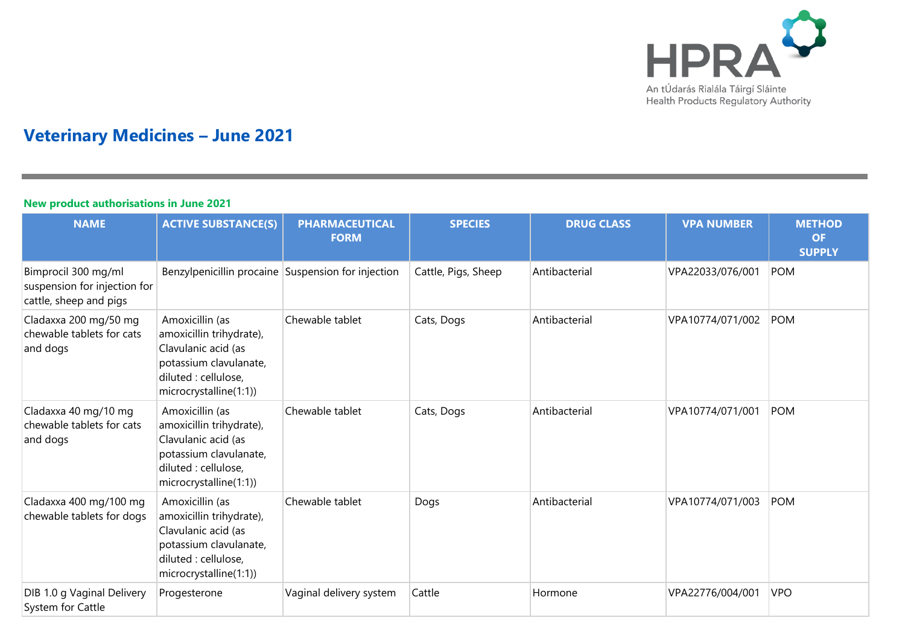

# **Veterinary Medicines – June 2021**

### **New product authorisations in June 2021**

| <b>NAME</b>                                                                   | <b>ACTIVE SUBSTANCE(S)</b>                                                                                                                     | <b>PHARMACEUTICAL</b><br><b>FORM</b> | <b>SPECIES</b>      | <b>DRUG CLASS</b> | <b>VPA NUMBER</b> | <b>METHOD</b><br><b>OF</b><br><b>SUPPLY</b> |
|-------------------------------------------------------------------------------|------------------------------------------------------------------------------------------------------------------------------------------------|--------------------------------------|---------------------|-------------------|-------------------|---------------------------------------------|
| Bimprocil 300 mg/ml<br>suspension for injection for<br>cattle, sheep and pigs | Benzylpenicillin procaine Suspension for injection                                                                                             |                                      | Cattle, Pigs, Sheep | Antibacterial     | VPA22033/076/001  | POM                                         |
| Cladaxxa 200 mg/50 mg<br>chewable tablets for cats<br>and dogs                | Amoxicillin (as<br>amoxicillin trihydrate),<br>Clavulanic acid (as<br>potassium clavulanate,<br>diluted : cellulose,<br>microcrystalline(1:1)) | Chewable tablet                      | Cats, Dogs          | Antibacterial     | VPA10774/071/002  | POM                                         |
| Cladaxxa 40 mg/10 mg<br>chewable tablets for cats<br>and dogs                 | Amoxicillin (as<br>amoxicillin trihydrate),<br>Clavulanic acid (as<br>potassium clavulanate,<br>diluted : cellulose,<br>microcrystalline(1:1)) | Chewable tablet                      | Cats, Dogs          | Antibacterial     | VPA10774/071/001  | POM                                         |
| Cladaxxa 400 mg/100 mg<br>chewable tablets for dogs                           | Amoxicillin (as<br>amoxicillin trihydrate),<br>Clavulanic acid (as<br>potassium clavulanate,<br>diluted : cellulose,<br>microcrystalline(1:1)) | Chewable tablet                      | Dogs                | Antibacterial     | VPA10774/071/003  | <b>POM</b>                                  |
| DIB 1.0 g Vaginal Delivery<br>System for Cattle                               | Progesterone                                                                                                                                   | Vaginal delivery system              | Cattle              | Hormone           | VPA22776/004/001  | <b>VPO</b>                                  |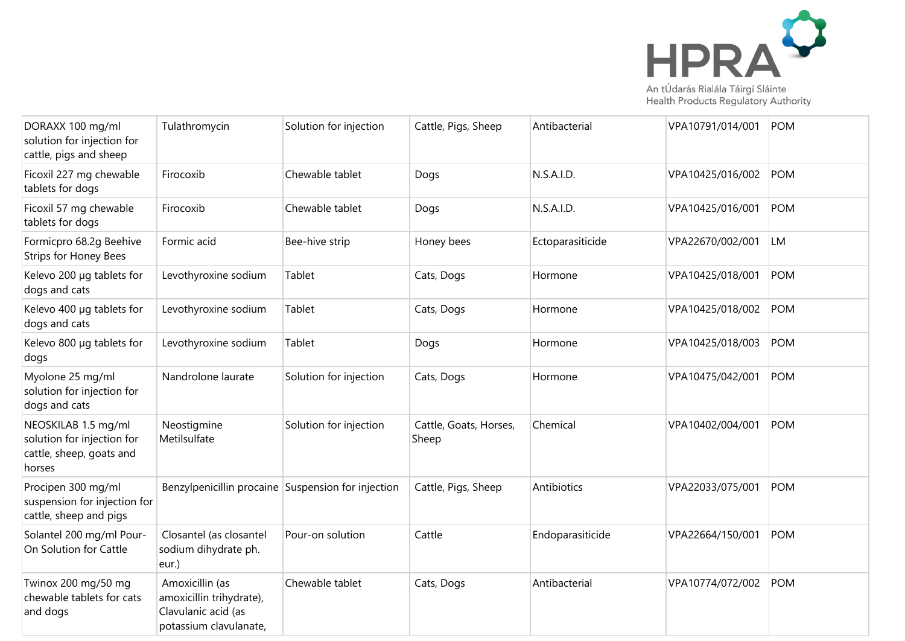

| DORAXX 100 mg/ml<br>solution for injection for<br>cattle, pigs and sheep                | Tulathromycin                                                                                | Solution for injection | Cattle, Pigs, Sheep             | Antibacterial    | VPA10791/014/001 | POM        |
|-----------------------------------------------------------------------------------------|----------------------------------------------------------------------------------------------|------------------------|---------------------------------|------------------|------------------|------------|
| Ficoxil 227 mg chewable<br>tablets for dogs                                             | Firocoxib                                                                                    | Chewable tablet        | Dogs                            | N.S.A.I.D.       | VPA10425/016/002 | <b>POM</b> |
| Ficoxil 57 mg chewable<br>tablets for dogs                                              | Firocoxib                                                                                    | Chewable tablet        | Dogs                            | N.S.A.I.D.       | VPA10425/016/001 | POM        |
| Formicpro 68.2q Beehive<br>Strips for Honey Bees                                        | Formic acid                                                                                  | Bee-hive strip         | Honey bees                      | Ectoparasiticide | VPA22670/002/001 | <b>LM</b>  |
| Kelevo 200 µg tablets for<br>dogs and cats                                              | Levothyroxine sodium                                                                         | Tablet                 | Cats, Dogs                      | Hormone          | VPA10425/018/001 | <b>POM</b> |
| Kelevo 400 µg tablets for<br>dogs and cats                                              | Levothyroxine sodium                                                                         | Tablet                 | Cats, Dogs                      | Hormone          | VPA10425/018/002 | <b>POM</b> |
| Kelevo 800 µg tablets for<br>dogs                                                       | Levothyroxine sodium                                                                         | Tablet                 | Dogs                            | Hormone          | VPA10425/018/003 | <b>POM</b> |
| Myolone 25 mg/ml<br>solution for injection for<br>dogs and cats                         | Nandrolone laurate                                                                           | Solution for injection | Cats, Dogs                      | Hormone          | VPA10475/042/001 | POM        |
| NEOSKILAB 1.5 mg/ml<br>solution for injection for<br>cattle, sheep, goats and<br>horses | Neostigmine<br>Metilsulfate                                                                  | Solution for injection | Cattle, Goats, Horses,<br>Sheep | Chemical         | VPA10402/004/001 | <b>POM</b> |
| Procipen 300 mg/ml<br>suspension for injection for<br>cattle, sheep and pigs            | Benzylpenicillin procaine Suspension for injection                                           |                        | Cattle, Pigs, Sheep             | Antibiotics      | VPA22033/075/001 | POM        |
| Solantel 200 mg/ml Pour-<br>On Solution for Cattle                                      | Closantel (as closantel<br>sodium dihydrate ph.<br>eur.)                                     | Pour-on solution       | Cattle                          | Endoparasiticide | VPA22664/150/001 | POM        |
| Twinox 200 mg/50 mg<br>chewable tablets for cats<br>and dogs                            | Amoxicillin (as<br>amoxicillin trihydrate),<br>Clavulanic acid (as<br>potassium clavulanate, | Chewable tablet        | Cats, Dogs                      | Antibacterial    | VPA10774/072/002 | POM        |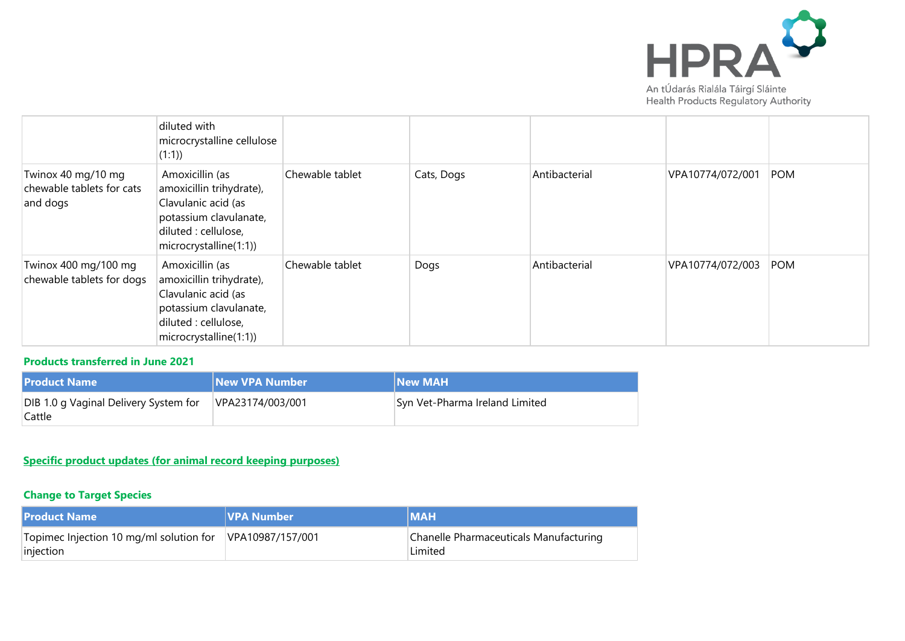

|                                                             | diluted with<br>microcrystalline cellulose<br>(1:1)                                                                                            |                 |            |               |                  |            |
|-------------------------------------------------------------|------------------------------------------------------------------------------------------------------------------------------------------------|-----------------|------------|---------------|------------------|------------|
| Twinox 40 mg/10 mg<br>chewable tablets for cats<br>and dogs | Amoxicillin (as<br>amoxicillin trihydrate),<br>Clavulanic acid (as<br>potassium clavulanate,<br>diluted : cellulose,<br>microcrystalline(1:1)) | Chewable tablet | Cats, Dogs | Antibacterial | VPA10774/072/001 | <b>POM</b> |
| Twinox 400 mg/100 mg<br>chewable tablets for dogs           | Amoxicillin (as<br>amoxicillin trihydrate),<br>Clavulanic acid (as<br>potassium clavulanate,<br>diluted : cellulose,<br>microcrystalline(1:1)) | Chewable tablet | Dogs       | Antibacterial | VPA10774/072/003 | <b>POM</b> |

### **Products transferred in June 2021**

| <b>Product Name</b>                             | <b>New VPA Number</b> | <b>New MAH</b>                 |
|-------------------------------------------------|-----------------------|--------------------------------|
| DIB 1.0 g Vaginal Delivery System for<br>Cattle | VPA23174/003/001      | Syn Vet-Pharma Ireland Limited |

## **Specific product updates (for animal record keeping purposes)**

## **Change to Target Species**

| <b>Product Name</b>                                  | <b>VPA Number</b> | <b>IMAH</b>                                       |
|------------------------------------------------------|-------------------|---------------------------------------------------|
| Topimec Injection 10 mg/ml solution for<br>injection | VPA10987/157/001  | Chanelle Pharmaceuticals Manufacturing<br>Limited |